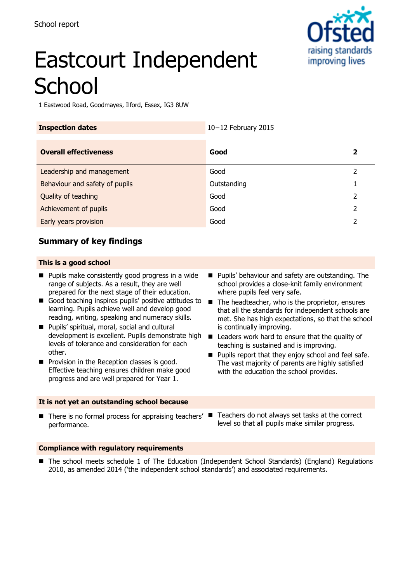

# Eastcourt Independent **School**

1 Eastwood Road, Goodmayes, Ilford, Essex, IG3 8UW

| <b>Inspection dates</b>        | $10-12$ February 2015 |   |
|--------------------------------|-----------------------|---|
| <b>Overall effectiveness</b>   | Good                  | 2 |
| Leadership and management      | Good                  |   |
| Behaviour and safety of pupils | Outstanding           |   |
| Quality of teaching            | Good                  |   |
| Achievement of pupils          | Good                  |   |

**Early years provision and 2** and 2 and 2 and 2 and 2 and 2 and 2 and 2 and 2 and 2 and 2 and 2 and 2 and 2 and 2 and 2 and 2 and 2 and 2 and 2 and 2 and 2 and 2 and 2 and 2 and 2 and 2 and 2 and 2 and 2 and 2 and 2 and 2

# **Summary of key findings**

### **This is a good school**

- **Pupils make consistently good progress in a wide** range of subjects. As a result, they are well prepared for the next stage of their education.
- Good teaching inspires pupils' positive attitudes to learning. Pupils achieve well and develop good reading, writing, speaking and numeracy skills.
- **Pupils' spiritual, moral, social and cultural** development is excellent. Pupils demonstrate high levels of tolerance and consideration for each other.
- $\blacksquare$  Provision in the Reception classes is good. Effective teaching ensures children make good progress and are well prepared for Year 1.

#### **It is not yet an outstanding school because**

- **Pupils' behaviour and safety are outstanding. The** school provides a close-knit family environment where pupils feel very safe.
- $\blacksquare$  The headteacher, who is the proprietor, ensures that all the standards for independent schools are met. She has high expectations, so that the school is continually improving.
- Leaders work hard to ensure that the quality of teaching is sustained and is improving.
- Pupils report that they enjoy school and feel safe. The vast majority of parents are highly satisfied with the education the school provides.
- There is no formal process for appraising teachers' Teachers do not always set tasks at the correct performance.
- level so that all pupils make similar progress.

#### **Compliance with regulatory requirements**

 The school meets schedule 1 of The Education (Independent School Standards) (England) Regulations 2010, as amended 2014 ('the independent school standards') and associated requirements.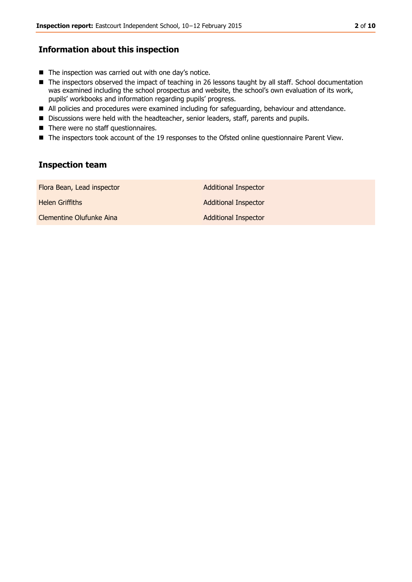# **Information about this inspection**

- The inspection was carried out with one day's notice.
- The inspectors observed the impact of teaching in 26 lessons taught by all staff. School documentation was examined including the school prospectus and website, the school's own evaluation of its work, pupils' workbooks and information regarding pupils' progress.
- All policies and procedures were examined including for safeguarding, behaviour and attendance.
- Discussions were held with the headteacher, senior leaders, staff, parents and pupils.
- There were no staff questionnaires.
- The inspectors took account of the 19 responses to the Ofsted online questionnaire Parent View.

# **Inspection team**

| Flora Bean, Lead inspector | <b>Additional Inspector</b> |
|----------------------------|-----------------------------|
| <b>Helen Griffiths</b>     | Additional Inspector        |
| Clementine Olufunke Aina   | <b>Additional Inspector</b> |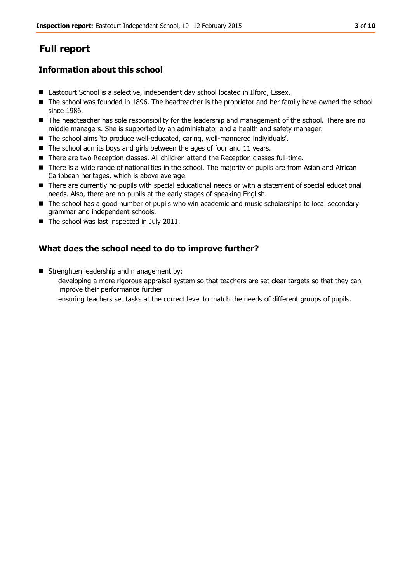# **Full report**

# **Information about this school**

- Eastcourt School is a selective, independent day school located in Ilford, Essex.
- The school was founded in 1896. The headteacher is the proprietor and her family have owned the school since 1986.
- The headteacher has sole responsibility for the leadership and management of the school. There are no middle managers. She is supported by an administrator and a health and safety manager.
- The school aims 'to produce well-educated, caring, well-mannered individuals'.
- $\blacksquare$  The school admits boys and girls between the ages of four and 11 years.
- There are two Reception classes. All children attend the Reception classes full-time.
- There is a wide range of nationalities in the school. The majority of pupils are from Asian and African Caribbean heritages, which is above average.
- There are currently no pupils with special educational needs or with a statement of special educational needs. Also, there are no pupils at the early stages of speaking English.
- The school has a good number of pupils who win academic and music scholarships to local secondary grammar and independent schools.
- $\blacksquare$  The school was last inspected in July 2011.

# **What does the school need to do to improve further?**

- Strenghten leadership and management by: developing a more rigorous appraisal system so that teachers are set clear targets so that they can improve their performance further
	- ensuring teachers set tasks at the correct level to match the needs of different groups of pupils.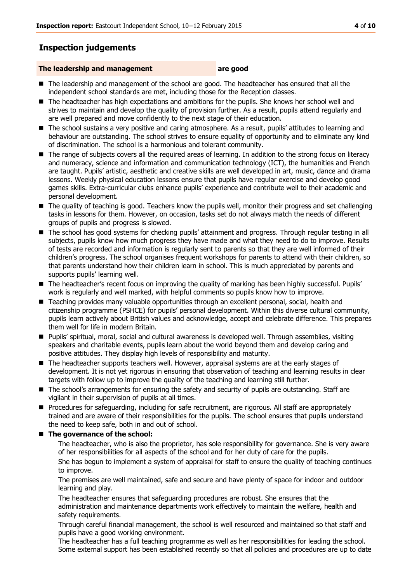# **Inspection judgements**

### **The leadership and management are good**

- The leadership and management of the school are good. The headteacher has ensured that all the independent school standards are met, including those for the Reception classes.
- The headteacher has high expectations and ambitions for the pupils. She knows her school well and strives to maintain and develop the quality of provision further. As a result, pupils attend regularly and are well prepared and move confidently to the next stage of their education.
- The school sustains a very positive and caring atmosphere. As a result, pupils' attitudes to learning and behaviour are outstanding. The school strives to ensure equality of opportunity and to eliminate any kind of discrimination. The school is a harmonious and tolerant community.
- The range of subjects covers all the required areas of learning. In addition to the strong focus on literacy and numeracy, science and information and communication technology (ICT), the humanities and French are taught. Pupils' artistic, aesthetic and creative skills are well developed in art, music, dance and drama lessons. Weekly physical education lessons ensure that pupils have regular exercise and develop good games skills. Extra-curricular clubs enhance pupils' experience and contribute well to their academic and personal development.
- The quality of teaching is good. Teachers know the pupils well, monitor their progress and set challenging tasks in lessons for them. However, on occasion, tasks set do not always match the needs of different groups of pupils and progress is slowed.
- The school has good systems for checking pupils' attainment and progress. Through regular testing in all subjects, pupils know how much progress they have made and what they need to do to improve. Results of tests are recorded and information is regularly sent to parents so that they are well informed of their children's progress. The school organises frequent workshops for parents to attend with their children, so that parents understand how their children learn in school. This is much appreciated by parents and supports pupils' learning well.
- The headteacher's recent focus on improving the quality of marking has been highly successful. Pupils' work is regularly and well marked, with helpful comments so pupils know how to improve.
- Teaching provides many valuable opportunities through an excellent personal, social, health and citizenship programme (PSHCE) for pupils' personal development. Within this diverse cultural community, pupils learn actively about British values and acknowledge, accept and celebrate difference. This prepares them well for life in modern Britain.
- Pupils' spiritual, moral, social and cultural awareness is developed well. Through assemblies, visiting speakers and charitable events, pupils learn about the world beyond them and develop caring and positive attitudes. They display high levels of responsibility and maturity.
- The headteacher supports teachers well. However, appraisal systems are at the early stages of development. It is not yet rigorous in ensuring that observation of teaching and learning results in clear targets with follow up to improve the quality of the teaching and learning still further.
- The school's arrangements for ensuring the safety and security of pupils are outstanding. Staff are vigilant in their supervision of pupils at all times.
- **Procedures for safeguarding, including for safe recruitment, are rigorous. All staff are appropriately** trained and are aware of their responsibilities for the pupils. The school ensures that pupils understand the need to keep safe, both in and out of school.

#### ■ The governance of the school:

The headteacher, who is also the proprietor, has sole responsibility for governance. She is very aware of her responsibilities for all aspects of the school and for her duty of care for the pupils.

She has begun to implement a system of appraisal for staff to ensure the quality of teaching continues to improve.

The premises are well maintained, safe and secure and have plenty of space for indoor and outdoor learning and play.

The headteacher ensures that safeguarding procedures are robust. She ensures that the administration and maintenance departments work effectively to maintain the welfare, health and safety requirements.

Through careful financial management, the school is well resourced and maintained so that staff and pupils have a good working environment.

The headteacher has a full teaching programme as well as her responsibilities for leading the school. Some external support has been established recently so that all policies and procedures are up to date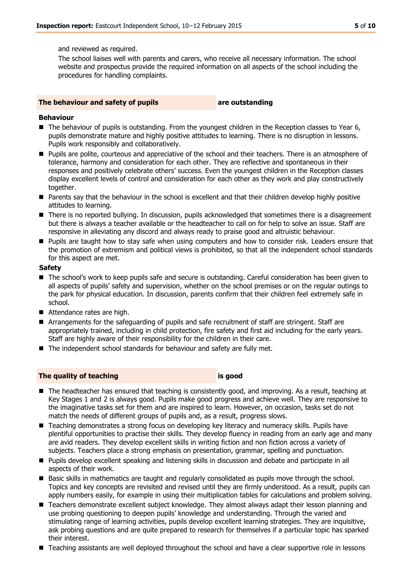and reviewed as required.

The school liaises well with parents and carers, who receive all necessary information. The school website and prospectus provide the required information on all aspects of the school including the procedures for handling complaints.

#### **The behaviour and safety of pupils are outstanding**

#### **Behaviour**

- The behaviour of pupils is outstanding. From the youngest children in the Reception classes to Year 6, pupils demonstrate mature and highly positive attitudes to learning. There is no disruption in lessons. Pupils work responsibly and collaboratively.
- **Pupils are polite, courteous and appreciative of the school and their teachers. There is an atmosphere of** tolerance, harmony and consideration for each other. They are reflective and spontaneous in their responses and positively celebrate others' success. Even the youngest children in the Reception classes display excellent levels of control and consideration for each other as they work and play constructively together.
- **Parents say that the behaviour in the school is excellent and that their children develop highly positive** attitudes to learning.
- There is no reported bullying. In discussion, pupils acknowledged that sometimes there is a disagreement but there is always a teacher available or the headteacher to call on for help to solve an issue. Staff are responsive in alleviating any discord and always ready to praise good and altruistic behaviour.
- **Pupils are taught how to stay safe when using computers and how to consider risk. Leaders ensure that** the promotion of extremism and political views is prohibited, so that all the independent school standards for this aspect are met.

#### **Safety**

- The school's work to keep pupils safe and secure is outstanding. Careful consideration has been given to all aspects of pupils' safety and supervision, whether on the school premises or on the regular outings to the park for physical education. In discussion, parents confirm that their children feel extremely safe in school.
- Attendance rates are high.
- Arrangements for the safeguarding of pupils and safe recruitment of staff are stringent. Staff are appropriately trained, including in child protection, fire safety and first aid including for the early years. Staff are highly aware of their responsibility for the children in their care.
- The independent school standards for behaviour and safety are fully met.

#### **The quality of teaching is good**

- The headteacher has ensured that teaching is consistently good, and improving. As a result, teaching at Key Stages 1 and 2 is always good. Pupils make good progress and achieve well. They are responsive to the imaginative tasks set for them and are inspired to learn. However, on occasion, tasks set do not match the needs of different groups of pupils and, as a result, progress slows.
- Teaching demonstrates a strong focus on developing key literacy and numeracy skills. Pupils have plentiful opportunities to practise their skills. They develop fluency in reading from an early age and many are avid readers. They develop excellent skills in writing fiction and non fiction across a variety of subjects. Teachers place a strong emphasis on presentation, grammar, spelling and punctuation.
- Pupils develop excellent speaking and listening skills in discussion and debate and participate in all aspects of their work.
- Basic skills in mathematics are taught and regularly consolidated as pupils move through the school. Topics and key concepts are revisited and revised until they are firmly understood. As a result, pupils can apply numbers easily, for example in using their multiplication tables for calculations and problem solving.
- Teachers demonstrate excellent subject knowledge. They almost always adapt their lesson planning and use probing questioning to deepen pupils' knowledge and understanding. Through the varied and stimulating range of learning activities, pupils develop excellent learning strategies. They are inquisitive, ask probing questions and are quite prepared to research for themselves if a particular topic has sparked their interest.
- Teaching assistants are well deployed throughout the school and have a clear supportive role in lessons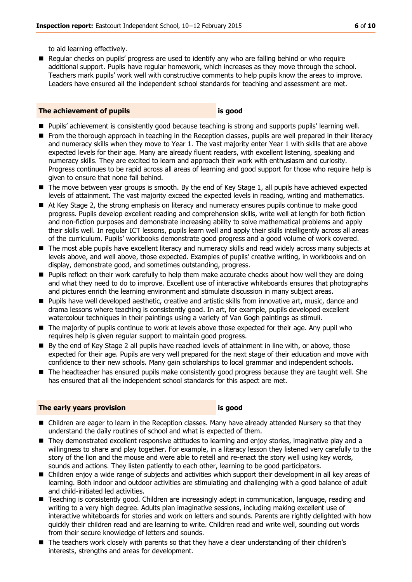to aid learning effectively.

**Regular checks on pupils' progress are used to identify any who are falling behind or who require** additional support. Pupils have regular homework, which increases as they move through the school. Teachers mark pupils' work well with constructive comments to help pupils know the areas to improve. Leaders have ensured all the independent school standards for teaching and assessment are met.

#### **The achievement of pupils is good**

- **Pupils'** achievement is consistently good because teaching is strong and supports pupils' learning well.
- **From the thorough approach in teaching in the Reception classes, pupils are well prepared in their literacy** and numeracy skills when they move to Year 1. The vast majority enter Year 1 with skills that are above expected levels for their age. Many are already fluent readers, with excellent listening, speaking and numeracy skills. They are excited to learn and approach their work with enthusiasm and curiosity. Progress continues to be rapid across all areas of learning and good support for those who require help is given to ensure that none fall behind.
- The move between year groups is smooth. By the end of Key Stage 1, all pupils have achieved expected levels of attainment. The vast majority exceed the expected levels in reading, writing and mathematics.
- At Key Stage 2, the strong emphasis on literacy and numeracy ensures pupils continue to make good progress. Pupils develop excellent reading and comprehension skills, write well at length for both fiction and non-fiction purposes and demonstrate increasing ability to solve mathematical problems and apply their skills well. In regular ICT lessons, pupils learn well and apply their skills intelligently across all areas of the curriculum. Pupils' workbooks demonstrate good progress and a good volume of work covered.
- The most able pupils have excellent literacy and numeracy skills and read widely across many subjects at levels above, and well above, those expected. Examples of pupils' creative writing, in workbooks and on display, demonstrate good, and sometimes outstanding, progress.
- **Pupils reflect on their work carefully to help them make accurate checks about how well they are doing** and what they need to do to improve. Excellent use of interactive whiteboards ensures that photographs and pictures enrich the learning environment and stimulate discussion in many subject areas.
- **Pupils have well developed aesthetic, creative and artistic skills from innovative art, music, dance and** drama lessons where teaching is consistently good. In art, for example, pupils developed excellent watercolour techniques in their paintings using a variety of Van Gogh paintings as stimuli.
- The majority of pupils continue to work at levels above those expected for their age. Any pupil who requires help is given regular support to maintain good progress.
- By the end of Key Stage 2 all pupils have reached levels of attainment in line with, or above, those expected for their age. Pupils are very well prepared for the next stage of their education and move with confidence to their new schools. Many gain scholarships to local grammar and independent schools.
- The headteacher has ensured pupils make consistently good progress because they are taught well. She has ensured that all the independent school standards for this aspect are met.

#### **The early years provision is good**

- Children are eager to learn in the Reception classes. Many have already attended Nursery so that they understand the daily routines of school and what is expected of them.
- They demonstrated excellent responsive attitudes to learning and enjoy stories, imaginative play and a willingness to share and play together. For example, in a literacy lesson they listened very carefully to the story of the lion and the mouse and were able to retell and re-enact the story well using key words, sounds and actions. They listen patiently to each other, learning to be good participators.
- Children enjoy a wide range of subjects and activities which support their development in all key areas of learning. Both indoor and outdoor activities are stimulating and challenging with a good balance of adult and child-initiated led activities.
- Teaching is consistently good. Children are increasingly adept in communication, language, reading and writing to a very high degree. Adults plan imaginative sessions, including making excellent use of interactive whiteboards for stories and work on letters and sounds. Parents are rightly delighted with how quickly their children read and are learning to write. Children read and write well, sounding out words from their secure knowledge of letters and sounds.
- The teachers work closely with parents so that they have a clear understanding of their children's interests, strengths and areas for development.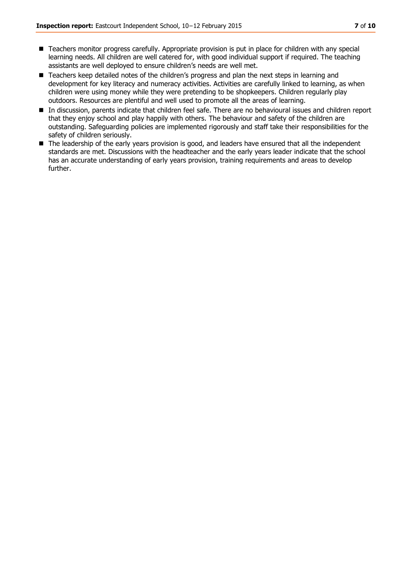- Teachers monitor progress carefully. Appropriate provision is put in place for children with any special learning needs. All children are well catered for, with good individual support if required. The teaching assistants are well deployed to ensure children's needs are well met.
- Teachers keep detailed notes of the children's progress and plan the next steps in learning and development for key literacy and numeracy activities. Activities are carefully linked to learning, as when children were using money while they were pretending to be shopkeepers. Children regularly play outdoors. Resources are plentiful and well used to promote all the areas of learning.
- In discussion, parents indicate that children feel safe. There are no behavioural issues and children report that they enjoy school and play happily with others. The behaviour and safety of the children are outstanding. Safeguarding policies are implemented rigorously and staff take their responsibilities for the safety of children seriously.
- The leadership of the early years provision is good, and leaders have ensured that all the independent standards are met. Discussions with the headteacher and the early years leader indicate that the school has an accurate understanding of early years provision, training requirements and areas to develop further.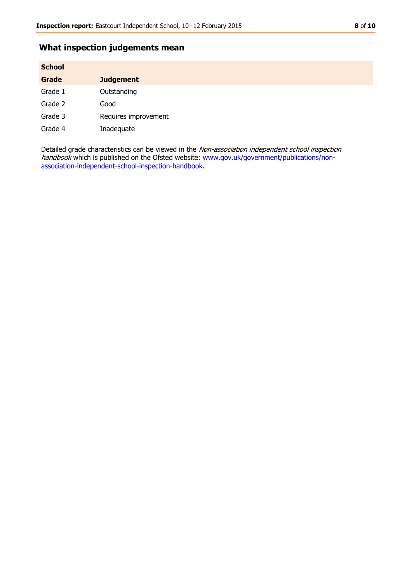# **What inspection judgements mean**

| <b>School</b> |                      |
|---------------|----------------------|
| <b>Grade</b>  | <b>Judgement</b>     |
| Grade 1       | Outstanding          |
| Grade 2       | Good                 |
| Grade 3       | Requires improvement |
| Grade 4       | Inadequate           |

Detailed grade characteristics can be viewed in the Non-association independent school inspection handbook which is published on the Ofsted website: [www.gov.uk/government/publications/non](http://www.gov.uk/government/publications/non-association-independent-school-inspection-handbook)[association-independent-school-inspection-handbook.](http://www.gov.uk/government/publications/non-association-independent-school-inspection-handbook)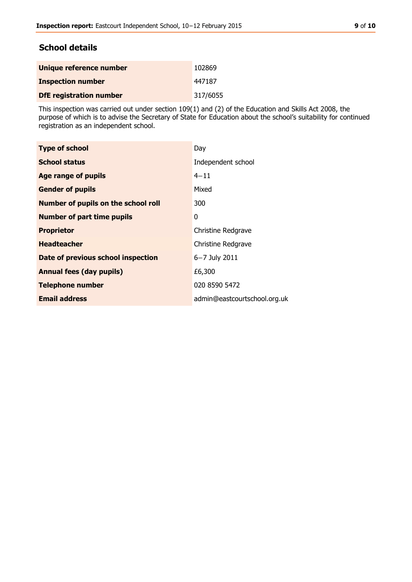## **School details**

| Unique reference number        | 102869   |
|--------------------------------|----------|
| <b>Inspection number</b>       | 447187   |
| <b>DfE</b> registration number | 317/6055 |

This inspection was carried out under section 109(1) and (2) of the Education and Skills Act 2008, the purpose of which is to advise the Secretary of State for Education about the school's suitability for continued registration as an independent school.

| <b>Type of school</b>               | Day                          |
|-------------------------------------|------------------------------|
| <b>School status</b>                | Independent school           |
| <b>Age range of pupils</b>          | $4 - 11$                     |
| <b>Gender of pupils</b>             | Mixed                        |
| Number of pupils on the school roll | 300                          |
| <b>Number of part time pupils</b>   | 0                            |
| <b>Proprietor</b>                   | Christine Redgrave           |
| <b>Headteacher</b>                  | Christine Redgrave           |
| Date of previous school inspection  | 6-7 July 2011                |
| <b>Annual fees (day pupils)</b>     | £6,300                       |
| <b>Telephone number</b>             | 020 8590 5472                |
| <b>Email address</b>                | admin@eastcourtschool.org.uk |